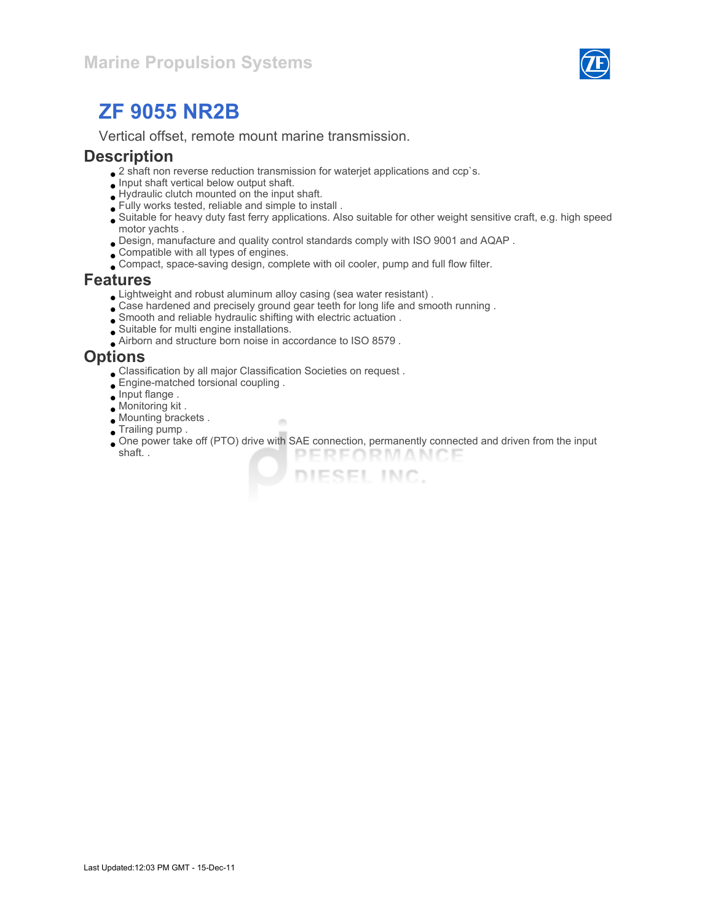

Vertical offset, remote mount marine transmission.

#### **Description**

- $\bullet$  2 shaft non reverse reduction transmission for waterjet applications and ccp`s.
- $\bullet$  Input shaft vertical below output shaft.
- Hydraulic clutch mounted on the input shaft.
- Fully works tested, reliable and simple to install .
- Suitable for heavy duty fast ferry applications. Also suitable for other weight sensitive craft, e.g. high speed motor yachts .
- Design, manufacture and quality control standards comply with ISO 9001 and AQAP .
- Compatible with all types of engines.
- Compact, space-saving design, complete with oil cooler, pump and full flow filter.

#### Features

- Lightweight and robust aluminum alloy casing (sea water resistant) .
- Case hardened and precisely ground gear teeth for long life and smooth running .
- Smooth and reliable hydraulic shifting with electric actuation .
- Suitable for multi engine installations.
- Airborn and structure born noise in accordance to ISO 8579 .

### **Options**

Classification by all major Classification Societies on request .

×

- Engine-matched torsional coupling .
- $\bullet$  Input flange.
- Monitoring kit .
- Mounting brackets .
- **Trailing pump.**
- One power take off (PTO) drive with SAE connection, permanently connected and driven from the input shaft. . PERFORMANCE

DIESEL INC.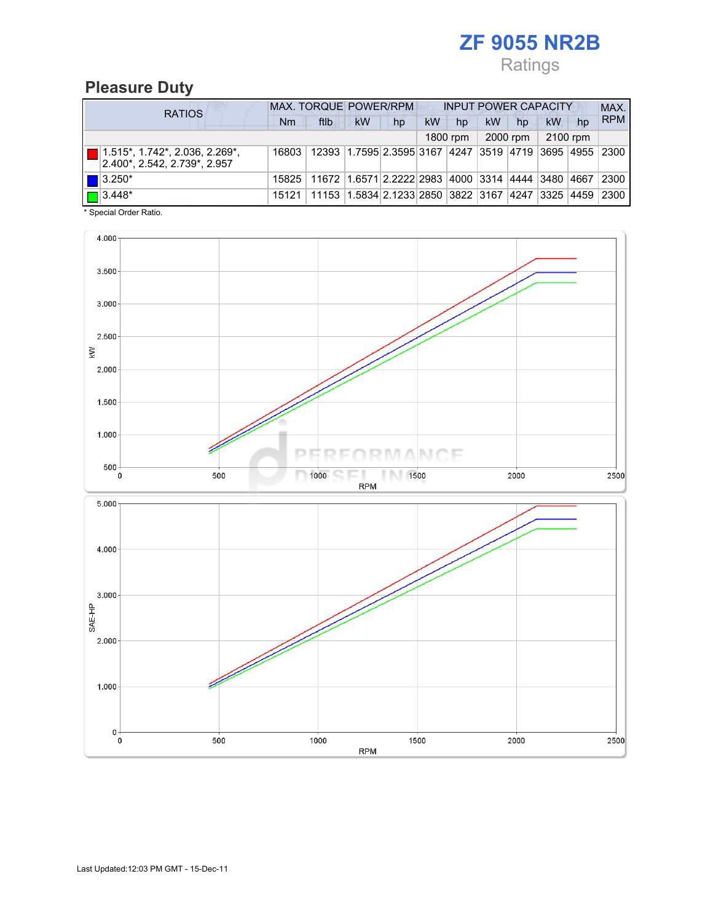## Ratings

## Pleasure Duty

| <b>RATIOS</b> |                                                                       | <b>MAX. TORQUE POWER/RPM</b><br><b>INPUT POWER CAPACITY</b> |                                                                           |           |    |           |          |           |          |          |    | MAX.       |
|---------------|-----------------------------------------------------------------------|-------------------------------------------------------------|---------------------------------------------------------------------------|-----------|----|-----------|----------|-----------|----------|----------|----|------------|
|               |                                                                       | Nm                                                          | ftlb                                                                      | <b>kW</b> | hp | <b>kW</b> | hp       | <b>kW</b> | hp       | kW       | hp | <b>RPM</b> |
|               |                                                                       |                                                             |                                                                           |           |    |           | 1800 rpm |           | 2000 rpm | 2100 rpm |    |            |
|               | $\Box$ 1.515*, 1.742*, 2.036, 2.269*,<br>2.400*, 2.542, 2.739*, 2.957 | 16803                                                       | 12393 1.7595 2.3595 3167 4247 3519 4719 3695 4955 2300                    |           |    |           |          |           |          |          |    |            |
|               | $\blacksquare$ 3.250*                                                 |                                                             | 15825   11672   1.6571   2.2222   2983   4000   3314   4444   3480   4667 |           |    |           |          |           |          |          |    | 2300       |
|               | $\Box$ 3.448*                                                         |                                                             | 15121   11153   1.5834   2.1233   2850   3822   3167   4247   3325   4459 |           |    |           |          |           |          |          |    | 2300       |

\* Special Order Ratio.

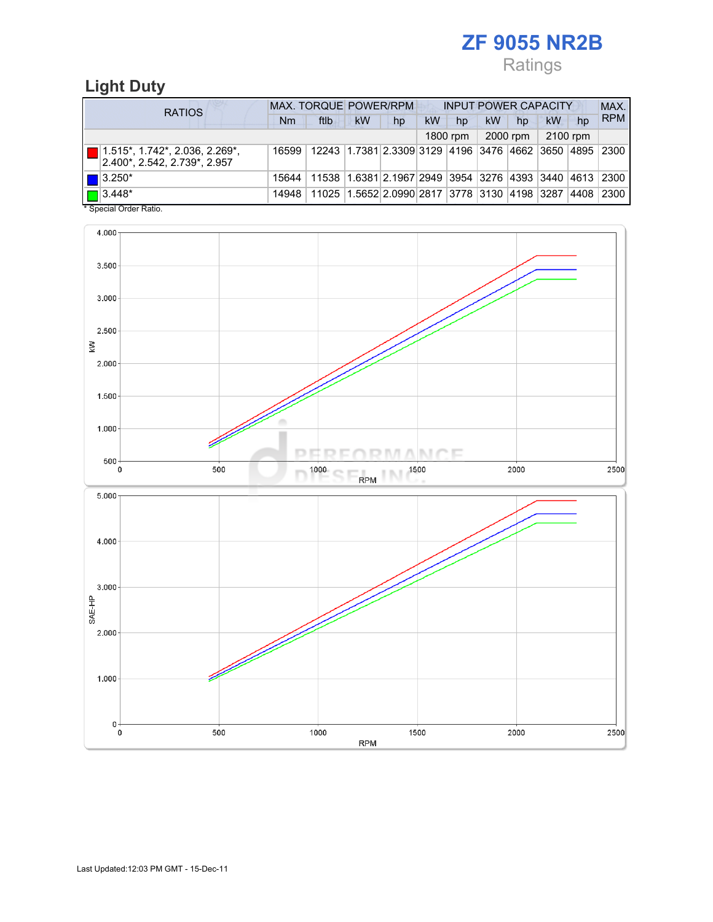## Ratings

## Light Duty

| <b>RATIOS</b>                                                                     | MAX. TORQUE POWER/RPM<br><b>INPUT POWER CAPACITY</b> |                                                        |    |                                              |    |          |    |          |          |    | MAX.        |
|-----------------------------------------------------------------------------------|------------------------------------------------------|--------------------------------------------------------|----|----------------------------------------------|----|----------|----|----------|----------|----|-------------|
|                                                                                   | Nm                                                   | ftlb                                                   | kW | hp                                           | kW | hp       | kW | hp       | kW       | hp | <b>RPM</b>  |
|                                                                                   |                                                      |                                                        |    |                                              |    | 1800 rpm |    | 2000 rpm | 2100 rpm |    |             |
| $\boxed{ }$ 1.515*, 1.742*, 2.036, 2.269*,<br>$ 2.400^* , 2.542, 2.739^* , 2.957$ | 16599                                                | 12243 1.7381 2.3309 3129 4196 3476 4662 3650 4895 2300 |    |                                              |    |          |    |          |          |    |             |
| $\blacksquare$ 3.250*                                                             | 15644                                                | 11538 1.6381 2.1967 2949 3954 3276 4393 3440 4613 2300 |    |                                              |    |          |    |          |          |    |             |
| $\boxed{\blacksquare}$ 3.448*                                                     | 14948                                                |                                                        |    | 11025 1.5652 2.0990 2817 3778 3130 4198 3287 |    |          |    |          |          |    | 4408   2300 |

Special Order Ratio.

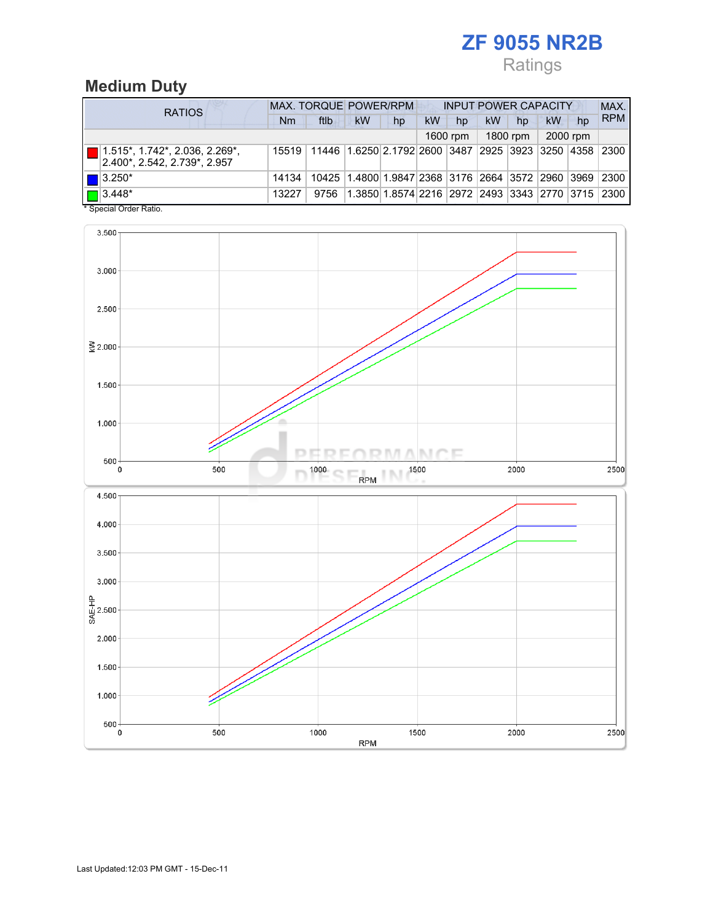## Ratings

### Medium Duty

| <b>RATIOS</b>                                                       | <b>MAX. TORQUE POWER/RPM</b><br><b>INPUT POWER CAPACITY</b> |                                                        |                                                         |    |    |          |           |          |    |          | MAX.       |
|---------------------------------------------------------------------|-------------------------------------------------------------|--------------------------------------------------------|---------------------------------------------------------|----|----|----------|-----------|----------|----|----------|------------|
|                                                                     | Nm                                                          | ftlb                                                   | <b>kW</b>                                               | hp | kW | hp       | <b>kW</b> | hp       | kW | hp       | <b>RPM</b> |
|                                                                     |                                                             |                                                        |                                                         |    |    | 1600 rpm |           | 1800 rpm |    | 2000 rpm |            |
| $\ $ 1.515*, 1.742*, 2.036, 2.269*,<br>2.400*, 2.542, 2.739*, 2.957 | 15519                                                       | 11446 1.6250 2.1792 2600 3487 2925 3923 3250 4358 2300 |                                                         |    |    |          |           |          |    |          |            |
| $\blacksquare$ 3.250*                                               | 14134                                                       |                                                        | 10425 1.4800 1.9847 2368 3176 2664 3572 2960 3969 2300  |    |    |          |           |          |    |          |            |
| $\sqrt{2}$ 3.448 <sup>*</sup><br>$*$ Consider Order Detter          | 13227                                                       | 9756                                                   | 1.3850 1.8574 2216  2972  2493  3343  2770  3715   2300 |    |    |          |           |          |    |          |            |

Special Order Ratio.

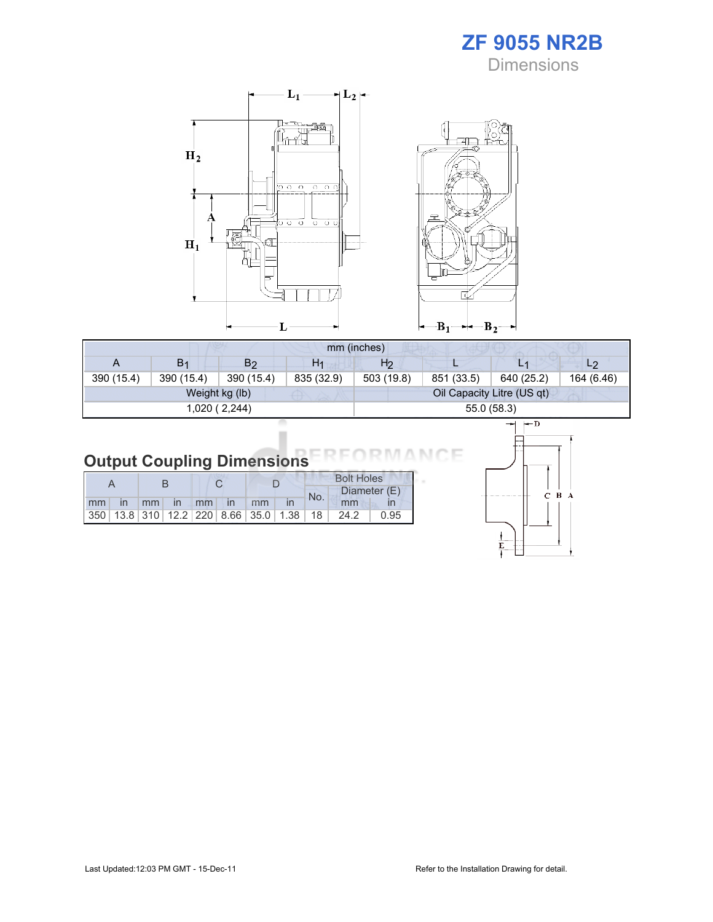



|            | mm (inches)    |                |                |                |             |                            |                |  |  |  |
|------------|----------------|----------------|----------------|----------------|-------------|----------------------------|----------------|--|--|--|
| A          | B <sub>1</sub> | B <sub>2</sub> | H <sub>1</sub> | H <sub>2</sub> |             | L1                         | L <sub>2</sub> |  |  |  |
| 390 (15.4) | 390 (15.4)     | 390 (15.4)     | 835 (32.9)     | 503 (19.8)     | 851 (33.5)  | 640 (25.2)                 | 164 (6.46)     |  |  |  |
|            |                | Weight kg (lb) |                |                |             | Oil Capacity Litre (US qt) |                |  |  |  |
|            |                | 1,020 ( 2,244) |                |                | 55.0 (58.3) |                            |                |  |  |  |

## Output Coupling Dimensions

|    |    |            |                                  |              |                                         |  | <b>Bolt Holes</b> |      |              |  |  |
|----|----|------------|----------------------------------|--------------|-----------------------------------------|--|-------------------|------|--------------|--|--|
|    |    |            |                                  |              |                                         |  | No.               |      | Diameter (E) |  |  |
| mm | mm | $\sqrt{1}$ | $\blacksquare$ mm $\blacksquare$ | $\mathsf{I}$ | mm                                      |  |                   | mm   |              |  |  |
|    |    |            |                                  |              | 350 13.8 310 12.2 220 8.66 35.0 1.38 18 |  |                   | 24.2 | 0.95         |  |  |



Е